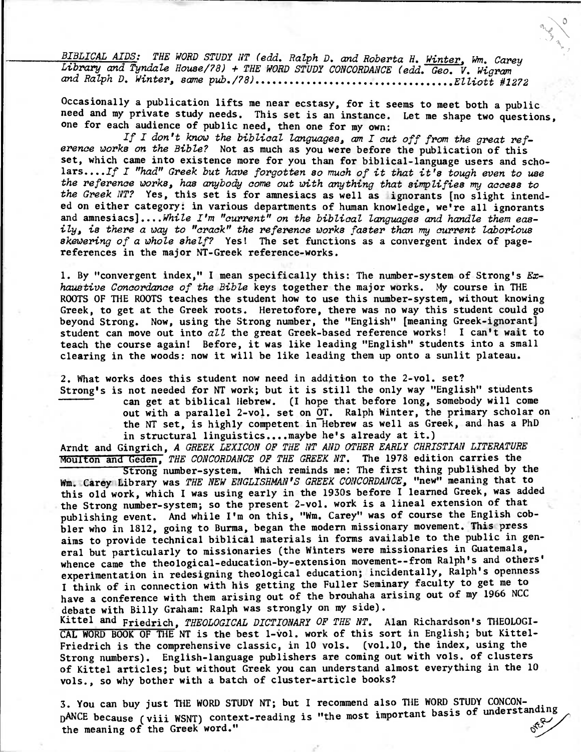BIBLICAL AIDS: THE WORD STUDY NT (edd. Ralph D. and Roberta H. Winter, Wm. Carey Library and Tyndale House/78) + THE WORD STUDY CONCORDANCE (edd. Geo. V. Wigram and Ralph D. Winter, same pub./78) Elliott #1272

**Occasionally a publication lifts me near ecstasy, for it seems to meet both a public need and my private study needs. This set is an instance. Let me shape two questions, one for each audience of public need, then one for my own:** 

If I don't know the biblical languages, am I cut off from the great reference works on the Bible? **Not as much as you were before the publication of this set, which came into existence more for you than for biblical-language users and scholars..../f** I "had" Greek but have forgotten so much of it that it's tough even to use the reference works, has anybody come out with anything that simplifies my access to the Greek NT? **Yes, this set is for amnesiacs as well as ignorants [no slight intended on either category: in various departments of human knowledge, we're all ignorants and amnesiacs]....While** I'm "current" on the biblical languages and handle them easily, is there a way to "crack" the reference works faster than my current laborious skewering of a whole shelf7 **Yes! The set functions as a convergent index of pagereferences in the major NT-Greek reference-works.** 

**1. By "convergent index," I mean specifically this: The number-system of Strong's** Exhaustive Concordance of the Bible **keys together the major works. My course in THE ROOTS OF THE ROOTS teaches the student how to use this number-system, without knowing Greek, to get at the Greek roots. Heretofore, there was no way this student could go beyond Strong. Now, using the Strong number, the "English" [meaning Greek-ignorant] student can move out into** aZZ **the great Greek-based reference works! I can't wait to teach the course again! Before, it was like leading "English" students into a small clearing in the woods: now it will be like leading them up onto a sunlit plateau.** 

**2. What works does this student now need in addition to the 2-vol. set? Strong's is not needed for NT work; but it is still the only way "English" students can get at biblical Hebrew. (I hope that before long, somebody will come out with a parallel 2-vol. set on OT. Ralph Winter, the primary scholar on the NT set, is highly competent in Hebrew as well as Greek, and has a PhD in structural linguistics....maybe he's already at it.)** 

**Arndt and Gingrich,** A GREEK LEXICON OF THE NT AND OTHER EARLY CHRISTIAN LITERATURE **Moulton and Geden,** THE CONCORDANCE OF THE GREEK NT. **The 1978 edition carries the** 

**Strong number-system. Which reminds me: The first thing published by the Wm. Carey Library was** THE NEW ENGLISHMAN'S GREEK CONCORDANCE, **"new" meaning that to this old work, which I was using early in the 1930s before I learned Greek, was added the Strong number-system; so the present 2-vol. work is a lineal extension of that publishing event. And while I'm on this, "Wm. Carey" was of course the English cobbler who in 1812, going to Burma, began the modern missionary movement. This press aims to provide technical biblical materials in forms available to the public in general but particularly to missionaries (the Winters were missionaries in Guatemala, whence came the theological-education-by-extension movement--from Ralph's and others' experimentation in redesigning theological education; incidentally, Ralph's openness I think of in connection with his getting the Fuller Seminary faculty to get me to have a conference with them arising out of the brouhaha arising out of my 1966 NCC debate with Billy Graham: Ralph was strongly on my side).** 

**Kittel and Friedrich,** THEOLOGICAL DICTIONARY OF THE NT. **Alan Richardson's THEOLOGI-**CAL WORD BOOK OF THE NT is the best 1-vol. work of this sort in English; but Kittel-**Friedrich is the comprehensive classic, in 10 vols. (vol.10, the index, using the Strong numbers). English-language publishers are coming out with vols. of clusters of Kittel articles; but without Greek you can understand almost everything in the 10 vols., so why bother with a batch of cluster-article books?** 

**3. You can buy just THE WORD STUDY NT; but I recommend also THE WORD STUDY CONCON- .**  D<sup>ANCE</sup> because (viii WSNT) context-reading is "the most important basis of understanding **the meaning of the Greek word."**